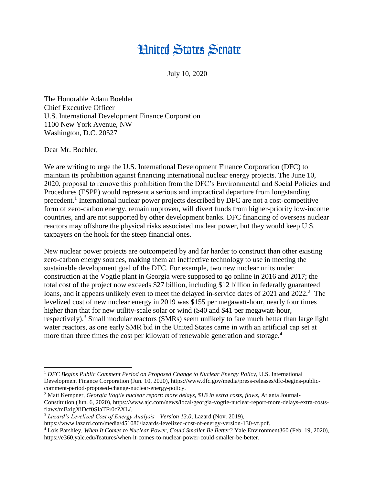## **Hnited States Senate**

July 10, 2020

The Honorable Adam Boehler Chief Executive Officer U.S. International Development Finance Corporation 1100 New York Avenue, NW Washington, D.C. 20527

Dear Mr. Boehler,

We are writing to urge the U.S. International Development Finance Corporation (DFC) to maintain its prohibition against financing international nuclear energy projects. The June 10, 2020, proposal to remove this prohibition from the DFC's Environmental and Social Policies and Procedures (ESPP) would represent a serious and impractical departure from longstanding precedent.<sup>1</sup> International nuclear power projects described by DFC are not a cost-competitive form of zero-carbon energy, remain unproven, will divert funds from higher-priority low-income countries, and are not supported by other development banks. DFC financing of overseas nuclear reactors may offshore the physical risks associated nuclear power, but they would keep U.S. taxpayers on the hook for the steep financial ones.

New nuclear power projects are outcompeted by and far harder to construct than other existing zero-carbon energy sources, making them an ineffective technology to use in meeting the sustainable development goal of the DFC. For example, two new nuclear units under construction at the Vogtle plant in Georgia were supposed to go online in 2016 and 2017; the total cost of the project now exceeds \$27 billion, including \$12 billion in federally guaranteed loans, and it appears unlikely even to meet the delayed in-service dates of 2021 and 2022.<sup>2</sup> The levelized cost of new nuclear energy in 2019 was \$155 per megawatt-hour, nearly four times higher than that for new utility-scale solar or wind (\$40 and \$41 per megawatt-hour, respectively).<sup>3</sup> Small modular reactors (SMRs) seem unlikely to fare much better than large light water reactors, as one early SMR bid in the United States came in with an artificial cap set at more than three times the cost per kilowatt of renewable generation and storage.<sup>4</sup>

 $\overline{a}$ <sup>1</sup> *DFC Begins Public Comment Period on Proposed Change to Nuclear Energy Policy*, U.S. International Development Finance Corporation (Jun. 10, 2020), https://www.dfc.gov/media/press-releases/dfc-begins-publiccomment-period-proposed-change-nuclear-energy-policy.

<sup>2</sup> Matt Kempner, *Georgia Vogtle nuclear report: more delays, \$1B in extra costs, flaws*, Atlanta Journal-Constitution (Jun. 6, 2020), https://www.ajc.com/news/local/georgia-vogtle-nuclear-report-more-delays-extra-costsflaws/mBxlgXiDcf0SIaTFr0cZXL/.

<sup>3</sup> *Lazard's Levelized Cost of Energy Analysis—Version 13.0*, Lazard (Nov. 2019),

https://www.lazard.com/media/451086/lazards-levelized-cost-of-energy-version-130-vf.pdf.

<sup>4</sup> Lois Parshley, *When It Comes to Nuclear Power, Could Smaller Be Better?* Yale Environment360 (Feb. 19, 2020), https://e360.yale.edu/features/when-it-comes-to-nuclear-power-could-smaller-be-better.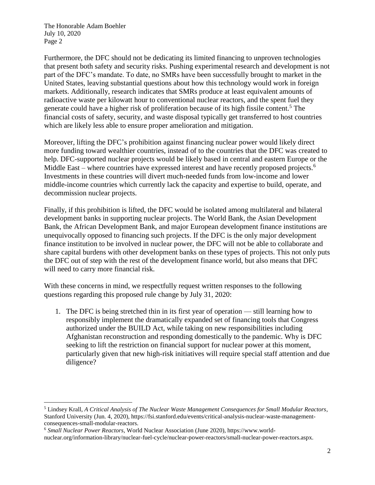The Honorable Adam Boehler July 10, 2020 Page 2

l

Furthermore, the DFC should not be dedicating its limited financing to unproven technologies that present both safety and security risks. Pushing experimental research and development is not part of the DFC's mandate. To date, no SMRs have been successfully brought to market in the United States, leaving substantial questions about how this technology would work in foreign markets. Additionally, research indicates that SMRs produce at least equivalent amounts of radioactive waste per kilowatt hour to conventional nuclear reactors, and the spent fuel they generate could have a higher risk of proliferation because of its high fissile content.<sup>5</sup> The financial costs of safety, security, and waste disposal typically get transferred to host countries which are likely less able to ensure proper amelioration and mitigation.

Moreover, lifting the DFC's prohibition against financing nuclear power would likely direct more funding toward wealthier countries, instead of to the countries that the DFC was created to help. DFC-supported nuclear projects would be likely based in central and eastern Europe or the Middle East – where countries have expressed interest and have recently proposed projects.<sup>6</sup> Investments in these countries will divert much-needed funds from low-income and lower middle-income countries which currently lack the capacity and expertise to build, operate, and decommission nuclear projects.

Finally, if this prohibition is lifted, the DFC would be isolated among multilateral and bilateral development banks in supporting nuclear projects. The World Bank, the Asian Development Bank, the African Development Bank, and major European development finance institutions are unequivocally opposed to financing such projects. If the DFC is the only major development finance institution to be involved in nuclear power, the DFC will not be able to collaborate and share capital burdens with other development banks on these types of projects. This not only puts the DFC out of step with the rest of the development finance world, but also means that DFC will need to carry more financial risk.

With these concerns in mind, we respectfully request written responses to the following questions regarding this proposed rule change by July 31, 2020:

1. The DFC is being stretched thin in its first year of operation — still learning how to responsibly implement the dramatically expanded set of financing tools that Congress authorized under the BUILD Act, while taking on new responsibilities including Afghanistan reconstruction and responding domestically to the pandemic. Why is DFC seeking to lift the restriction on financial support for nuclear power at this moment, particularly given that new high-risk initiatives will require special staff attention and due diligence?

<sup>5</sup> Lindsey Krall, *A Critical Analysis of The Nuclear Waste Management Consequences for Small Modular Reactors*, Stanford University (Jun. 4, 2020), https://fsi.stanford.edu/events/critical-analysis-nuclear-waste-managementconsequences-small-modular-reactors.

<sup>6</sup> *Small Nuclear Power Reactors*, World Nuclear Association (June 2020), https://www.worldnuclear.org/information-library/nuclear-fuel-cycle/nuclear-power-reactors/small-nuclear-power-reactors.aspx.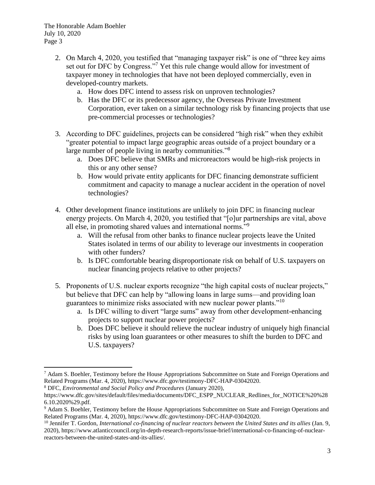- 2. On March 4, 2020, you testified that "managing taxpayer risk" is one of "three key aims set out for DFC by Congress."<sup>7</sup> Yet this rule change would allow for investment of taxpayer money in technologies that have not been deployed commercially, even in developed-country markets.
	- a. How does DFC intend to assess risk on unproven technologies?
	- b. Has the DFC or its predecessor agency, the Overseas Private Investment Corporation, ever taken on a similar technology risk by financing projects that use pre-commercial processes or technologies?
- 3. According to DFC guidelines, projects can be considered "high risk" when they exhibit "greater potential to impact large geographic areas outside of a project boundary or a large number of people living in nearby communities."<sup>8</sup>
	- a. Does DFC believe that SMRs and microreactors would be high-risk projects in this or any other sense?
	- b. How would private entity applicants for DFC financing demonstrate sufficient commitment and capacity to manage a nuclear accident in the operation of novel technologies?
- 4. Other development finance institutions are unlikely to join DFC in financing nuclear energy projects. On March 4, 2020, you testified that "[o]ur partnerships are vital, above all else, in promoting shared values and international norms."<sup>9</sup>
	- a. Will the refusal from other banks to finance nuclear projects leave the United States isolated in terms of our ability to leverage our investments in cooperation with other funders?
	- b. Is DFC comfortable bearing disproportionate risk on behalf of U.S. taxpayers on nuclear financing projects relative to other projects?
- 5. Proponents of U.S. nuclear exports recognize "the high capital costs of nuclear projects," but believe that DFC can help by "allowing loans in large sums—and providing loan guarantees to minimize risks associated with new nuclear power plants."<sup>10</sup>
	- a. Is DFC willing to divert "large sums" away from other development-enhancing projects to support nuclear power projects?
	- b. Does DFC believe it should relieve the nuclear industry of uniquely high financial risks by using loan guarantees or other measures to shift the burden to DFC and U.S. taxpayers?

 $\overline{a}$ <sup>7</sup> Adam S. Boehler, Testimony before the House Appropriations Subcommittee on State and Foreign Operations and Related Programs (Mar. 4, 2020), https://www.dfc.gov/testimony-DFC-HAP-03042020.

<sup>8</sup> DFC, *Environmental and Social Policy and Procedures* (January 2020),

https://www.dfc.gov/sites/default/files/media/documents/DFC\_ESPP\_NUCLEAR\_Redlines\_for\_NOTICE%20%28 6.10.2020%29.pdf.

<sup>9</sup> Adam S. Boehler, Testimony before the House Appropriations Subcommittee on State and Foreign Operations and Related Programs (Mar. 4, 2020), https://www.dfc.gov/testimony-DFC-HAP-03042020.

<sup>10</sup> Jennifer T. Gordon, *International co-financing of nuclear reactors between the United States and its allies* (Jan. 9, 2020), https://www.atlanticcouncil.org/in-depth-research-reports/issue-brief/international-co-financing-of-nuclearreactors-between-the-united-states-and-its-allies/.